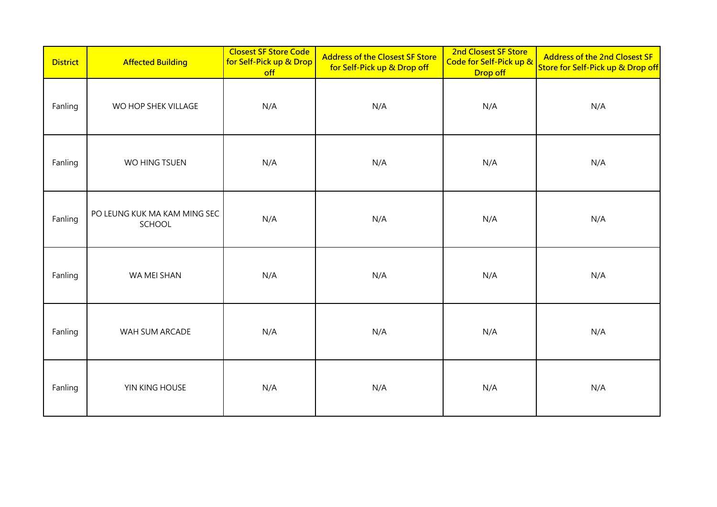| <b>District</b> | <b>Affected Building</b>               | <b>Closest SF Store Code</b><br>for Self-Pick up & Drop<br>off | <b>Address of the Closest SF Store</b><br>for Self-Pick up & Drop off | 2nd Closest SF Store<br>Code for Self-Pick up &<br>Drop off | <b>Address of the 2nd Closest SF</b><br>Store for Self-Pick up & Drop off |
|-----------------|----------------------------------------|----------------------------------------------------------------|-----------------------------------------------------------------------|-------------------------------------------------------------|---------------------------------------------------------------------------|
| Fanling         | WO HOP SHEK VILLAGE                    | N/A                                                            | N/A                                                                   | N/A                                                         | N/A                                                                       |
| Fanling         | WO HING TSUEN                          | N/A                                                            | N/A                                                                   | N/A                                                         | N/A                                                                       |
| Fanling         | PO LEUNG KUK MA KAM MING SEC<br>SCHOOL | N/A                                                            | N/A                                                                   | N/A                                                         | N/A                                                                       |
| Fanling         | WA MEI SHAN                            | N/A                                                            | N/A                                                                   | N/A                                                         | N/A                                                                       |
| Fanling         | WAH SUM ARCADE                         | N/A                                                            | N/A                                                                   | N/A                                                         | N/A                                                                       |
| Fanling         | YIN KING HOUSE                         | N/A                                                            | N/A                                                                   | N/A                                                         | N/A                                                                       |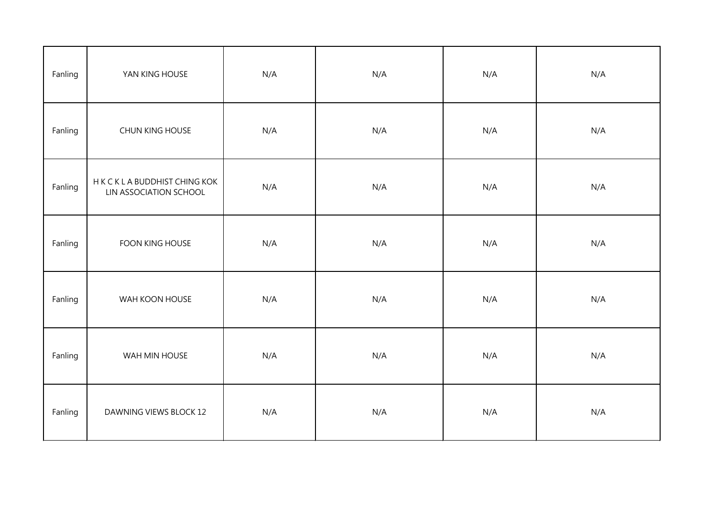| Fanling | YAN KING HOUSE                                           | N/A | N/A | N/A | N/A |
|---------|----------------------------------------------------------|-----|-----|-----|-----|
| Fanling | CHUN KING HOUSE                                          | N/A | N/A | N/A | N/A |
| Fanling | H K C K L A BUDDHIST CHING KOK<br>LIN ASSOCIATION SCHOOL | N/A | N/A | N/A | N/A |
| Fanling | FOON KING HOUSE                                          | N/A | N/A | N/A | N/A |
| Fanling | WAH KOON HOUSE                                           | N/A | N/A | N/A | N/A |
| Fanling | WAH MIN HOUSE                                            | N/A | N/A | N/A | N/A |
| Fanling | DAWNING VIEWS BLOCK 12                                   | N/A | N/A | N/A | N/A |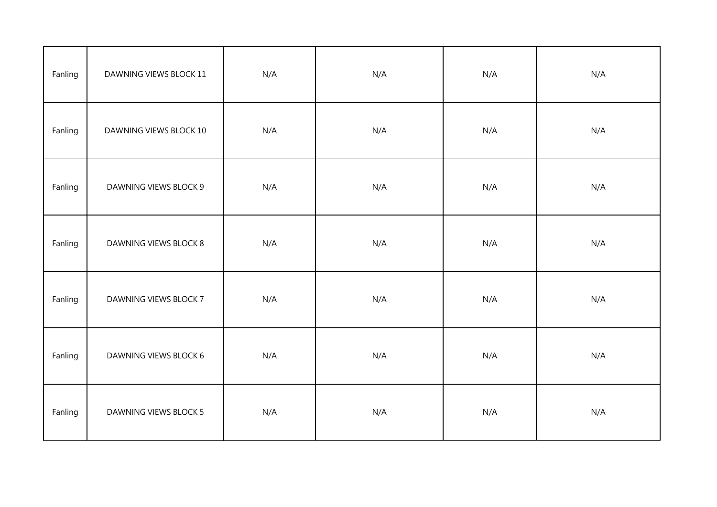| Fanling | DAWNING VIEWS BLOCK 11 | N/A | N/A | N/A | N/A |
|---------|------------------------|-----|-----|-----|-----|
| Fanling | DAWNING VIEWS BLOCK 10 | N/A | N/A | N/A | N/A |
| Fanling | DAWNING VIEWS BLOCK 9  | N/A | N/A | N/A | N/A |
| Fanling | DAWNING VIEWS BLOCK 8  | N/A | N/A | N/A | N/A |
| Fanling | DAWNING VIEWS BLOCK 7  | N/A | N/A | N/A | N/A |
| Fanling | DAWNING VIEWS BLOCK 6  | N/A | N/A | N/A | N/A |
| Fanling | DAWNING VIEWS BLOCK 5  | N/A | N/A | N/A | N/A |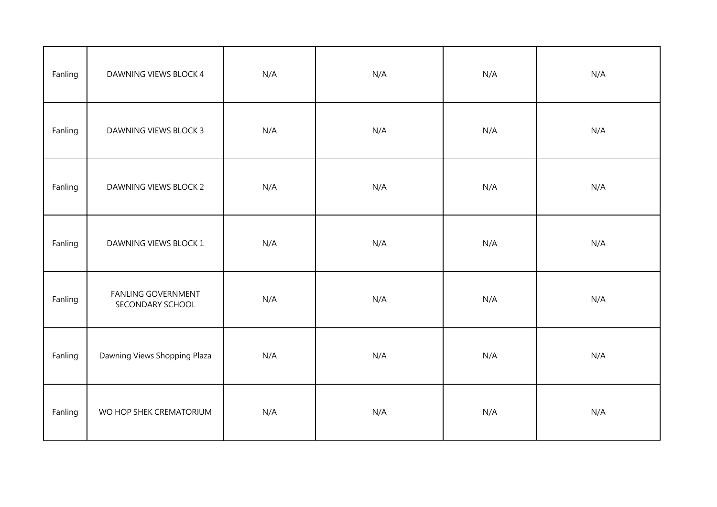| Fanling | DAWNING VIEWS BLOCK 4                         | N/A | N/A | N/A | N/A |
|---------|-----------------------------------------------|-----|-----|-----|-----|
| Fanling | <b>DAWNING VIEWS BLOCK 3</b>                  | N/A | N/A | N/A | N/A |
| Fanling | DAWNING VIEWS BLOCK 2                         | N/A | N/A | N/A | N/A |
| Fanling | DAWNING VIEWS BLOCK 1                         | N/A | N/A | N/A | N/A |
| Fanling | <b>FANLING GOVERNMENT</b><br>SECONDARY SCHOOL | N/A | N/A | N/A | N/A |
| Fanling | Dawning Views Shopping Plaza                  | N/A | N/A | N/A | N/A |
| Fanling | WO HOP SHEK CREMATORIUM                       | N/A | N/A | N/A | N/A |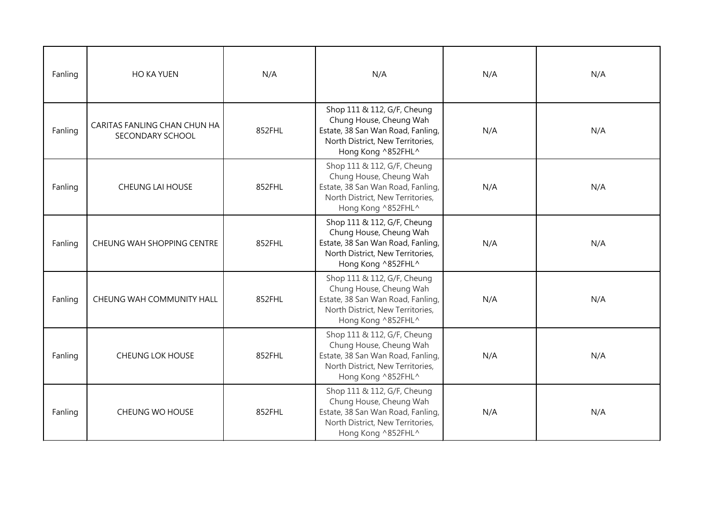| Fanling | <b>HO KA YUEN</b>                                | N/A    | N/A                                                                                                                                                   | N/A | N/A |
|---------|--------------------------------------------------|--------|-------------------------------------------------------------------------------------------------------------------------------------------------------|-----|-----|
| Fanling | CARITAS FANLING CHAN CHUN HA<br>SECONDARY SCHOOL | 852FHL | Shop 111 & 112, G/F, Cheung<br>Chung House, Cheung Wah<br>Estate, 38 San Wan Road, Fanling,<br>North District, New Territories,<br>Hong Kong ^852FHL^ | N/A | N/A |
| Fanling | <b>CHEUNG LAI HOUSE</b>                          | 852FHL | Shop 111 & 112, G/F, Cheung<br>Chung House, Cheung Wah<br>Estate, 38 San Wan Road, Fanling,<br>North District, New Territories,<br>Hong Kong ^852FHL^ | N/A | N/A |
| Fanling | CHEUNG WAH SHOPPING CENTRE                       | 852FHL | Shop 111 & 112, G/F, Cheung<br>Chung House, Cheung Wah<br>Estate, 38 San Wan Road, Fanling,<br>North District, New Territories,<br>Hong Kong ^852FHL^ | N/A | N/A |
| Fanling | CHEUNG WAH COMMUNITY HALL                        | 852FHL | Shop 111 & 112, G/F, Cheung<br>Chung House, Cheung Wah<br>Estate, 38 San Wan Road, Fanling,<br>North District, New Territories,<br>Hong Kong ^852FHL^ | N/A | N/A |
| Fanling | <b>CHEUNG LOK HOUSE</b>                          | 852FHL | Shop 111 & 112, G/F, Cheung<br>Chung House, Cheung Wah<br>Estate, 38 San Wan Road, Fanling,<br>North District, New Territories,<br>Hong Kong ^852FHL^ | N/A | N/A |
| Fanling | CHEUNG WO HOUSE                                  | 852FHL | Shop 111 & 112, G/F, Cheung<br>Chung House, Cheung Wah<br>Estate, 38 San Wan Road, Fanling,<br>North District, New Territories,<br>Hong Kong ^852FHL^ | N/A | N/A |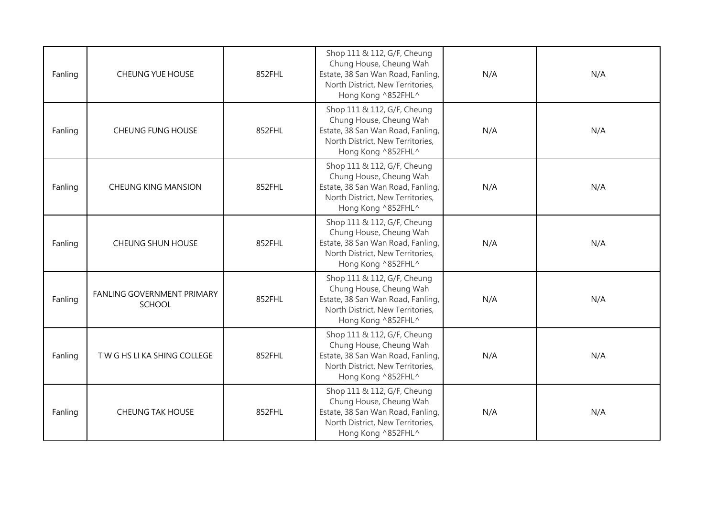| Fanling | <b>CHEUNG YUE HOUSE</b>                     | 852FHL | Shop 111 & 112, G/F, Cheung<br>Chung House, Cheung Wah<br>Estate, 38 San Wan Road, Fanling,<br>North District, New Territories,<br>Hong Kong ^852FHL^ | N/A | N/A |
|---------|---------------------------------------------|--------|-------------------------------------------------------------------------------------------------------------------------------------------------------|-----|-----|
| Fanling | <b>CHEUNG FUNG HOUSE</b>                    | 852FHL | Shop 111 & 112, G/F, Cheung<br>Chung House, Cheung Wah<br>Estate, 38 San Wan Road, Fanling,<br>North District, New Territories,<br>Hong Kong ^852FHL^ | N/A | N/A |
| Fanling | <b>CHEUNG KING MANSION</b>                  | 852FHL | Shop 111 & 112, G/F, Cheung<br>Chung House, Cheung Wah<br>Estate, 38 San Wan Road, Fanling,<br>North District, New Territories,<br>Hong Kong ^852FHL^ | N/A | N/A |
| Fanling | <b>CHEUNG SHUN HOUSE</b>                    | 852FHL | Shop 111 & 112, G/F, Cheung<br>Chung House, Cheung Wah<br>Estate, 38 San Wan Road, Fanling,<br>North District, New Territories,<br>Hong Kong ^852FHL^ | N/A | N/A |
| Fanling | FANLING GOVERNMENT PRIMARY<br><b>SCHOOL</b> | 852FHL | Shop 111 & 112, G/F, Cheung<br>Chung House, Cheung Wah<br>Estate, 38 San Wan Road, Fanling,<br>North District, New Territories,<br>Hong Kong ^852FHL^ | N/A | N/A |
| Fanling | TWG HS LI KA SHING COLLEGE                  | 852FHL | Shop 111 & 112, G/F, Cheung<br>Chung House, Cheung Wah<br>Estate, 38 San Wan Road, Fanling,<br>North District, New Territories,<br>Hong Kong ^852FHL^ | N/A | N/A |
| Fanling | <b>CHEUNG TAK HOUSE</b>                     | 852FHL | Shop 111 & 112, G/F, Cheung<br>Chung House, Cheung Wah<br>Estate, 38 San Wan Road, Fanling,<br>North District, New Territories,<br>Hong Kong ^852FHL^ | N/A | N/A |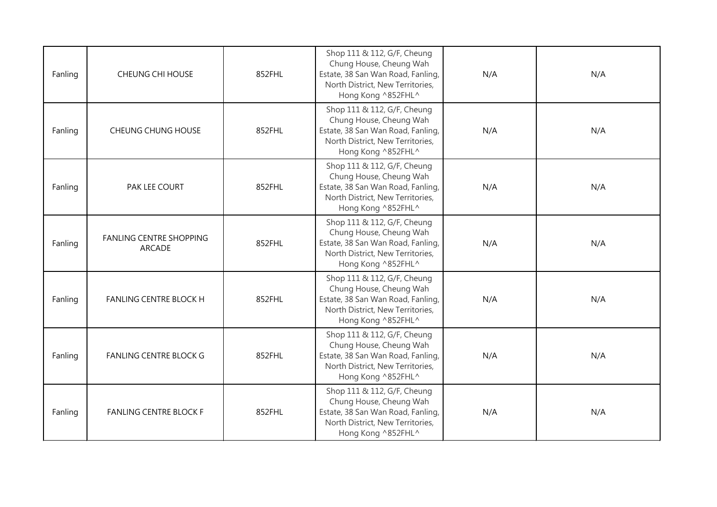| Fanling | <b>CHEUNG CHI HOUSE</b>                         | 852FHL | Shop 111 & 112, G/F, Cheung<br>Chung House, Cheung Wah<br>Estate, 38 San Wan Road, Fanling,<br>North District, New Territories,<br>Hong Kong ^852FHL^ | N/A | N/A |
|---------|-------------------------------------------------|--------|-------------------------------------------------------------------------------------------------------------------------------------------------------|-----|-----|
| Fanling | <b>CHEUNG CHUNG HOUSE</b>                       | 852FHL | Shop 111 & 112, G/F, Cheung<br>Chung House, Cheung Wah<br>Estate, 38 San Wan Road, Fanling,<br>North District, New Territories,<br>Hong Kong ^852FHL^ | N/A | N/A |
| Fanling | PAK LEE COURT                                   | 852FHL | Shop 111 & 112, G/F, Cheung<br>Chung House, Cheung Wah<br>Estate, 38 San Wan Road, Fanling,<br>North District, New Territories,<br>Hong Kong ^852FHL^ | N/A | N/A |
| Fanling | <b>FANLING CENTRE SHOPPING</b><br><b>ARCADE</b> | 852FHL | Shop 111 & 112, G/F, Cheung<br>Chung House, Cheung Wah<br>Estate, 38 San Wan Road, Fanling,<br>North District, New Territories,<br>Hong Kong ^852FHL^ | N/A | N/A |
| Fanling | <b>FANLING CENTRE BLOCK H</b>                   | 852FHL | Shop 111 & 112, G/F, Cheung<br>Chung House, Cheung Wah<br>Estate, 38 San Wan Road, Fanling,<br>North District, New Territories,<br>Hong Kong ^852FHL^ | N/A | N/A |
| Fanling | <b>FANLING CENTRE BLOCK G</b>                   | 852FHL | Shop 111 & 112, G/F, Cheung<br>Chung House, Cheung Wah<br>Estate, 38 San Wan Road, Fanling,<br>North District, New Territories,<br>Hong Kong ^852FHL^ | N/A | N/A |
| Fanling | <b>FANLING CENTRE BLOCK F</b>                   | 852FHL | Shop 111 & 112, G/F, Cheung<br>Chung House, Cheung Wah<br>Estate, 38 San Wan Road, Fanling,<br>North District, New Territories,<br>Hong Kong ^852FHL^ | N/A | N/A |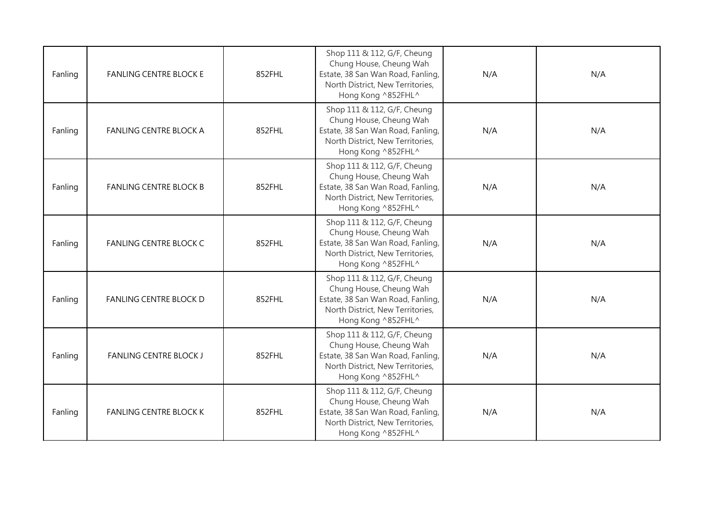| Fanling | <b>FANLING CENTRE BLOCK E</b> | 852FHL | Shop 111 & 112, G/F, Cheung<br>Chung House, Cheung Wah<br>Estate, 38 San Wan Road, Fanling,<br>North District, New Territories,<br>Hong Kong ^852FHL^ | N/A | N/A |
|---------|-------------------------------|--------|-------------------------------------------------------------------------------------------------------------------------------------------------------|-----|-----|
| Fanling | <b>FANLING CENTRE BLOCK A</b> | 852FHL | Shop 111 & 112, G/F, Cheung<br>Chung House, Cheung Wah<br>Estate, 38 San Wan Road, Fanling,<br>North District, New Territories,<br>Hong Kong ^852FHL^ | N/A | N/A |
| Fanling | <b>FANLING CENTRE BLOCK B</b> | 852FHL | Shop 111 & 112, G/F, Cheung<br>Chung House, Cheung Wah<br>Estate, 38 San Wan Road, Fanling,<br>North District, New Territories,<br>Hong Kong ^852FHL^ | N/A | N/A |
| Fanling | <b>FANLING CENTRE BLOCK C</b> | 852FHL | Shop 111 & 112, G/F, Cheung<br>Chung House, Cheung Wah<br>Estate, 38 San Wan Road, Fanling,<br>North District, New Territories,<br>Hong Kong ^852FHL^ | N/A | N/A |
| Fanling | <b>FANLING CENTRE BLOCK D</b> | 852FHL | Shop 111 & 112, G/F, Cheung<br>Chung House, Cheung Wah<br>Estate, 38 San Wan Road, Fanling,<br>North District, New Territories,<br>Hong Kong ^852FHL^ | N/A | N/A |
| Fanling | <b>FANLING CENTRE BLOCK J</b> | 852FHL | Shop 111 & 112, G/F, Cheung<br>Chung House, Cheung Wah<br>Estate, 38 San Wan Road, Fanling,<br>North District, New Territories,<br>Hong Kong ^852FHL^ | N/A | N/A |
| Fanling | <b>FANLING CENTRE BLOCK K</b> | 852FHL | Shop 111 & 112, G/F, Cheung<br>Chung House, Cheung Wah<br>Estate, 38 San Wan Road, Fanling,<br>North District, New Territories,<br>Hong Kong ^852FHL^ | N/A | N/A |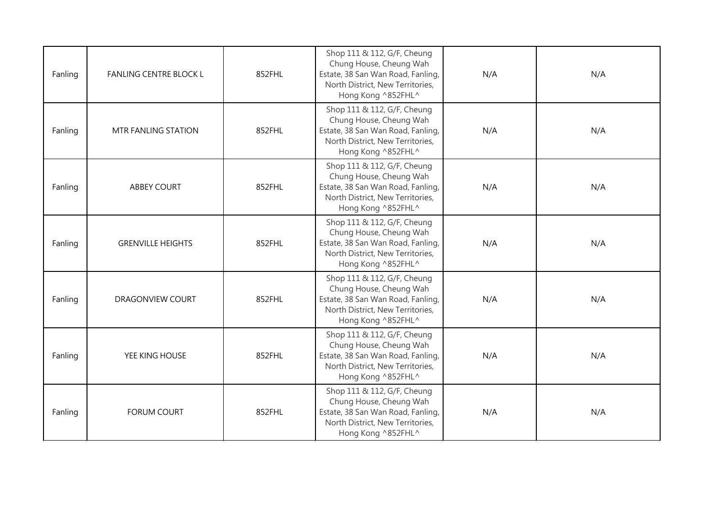| Fanling | <b>FANLING CENTRE BLOCK L</b> | 852FHL | Shop 111 & 112, G/F, Cheung<br>Chung House, Cheung Wah<br>Estate, 38 San Wan Road, Fanling,<br>North District, New Territories,<br>Hong Kong ^852FHL^ | N/A | N/A |
|---------|-------------------------------|--------|-------------------------------------------------------------------------------------------------------------------------------------------------------|-----|-----|
| Fanling | <b>MTR FANLING STATION</b>    | 852FHL | Shop 111 & 112, G/F, Cheung<br>Chung House, Cheung Wah<br>Estate, 38 San Wan Road, Fanling,<br>North District, New Territories,<br>Hong Kong ^852FHL^ | N/A | N/A |
| Fanling | <b>ABBEY COURT</b>            | 852FHL | Shop 111 & 112, G/F, Cheung<br>Chung House, Cheung Wah<br>Estate, 38 San Wan Road, Fanling,<br>North District, New Territories,<br>Hong Kong ^852FHL^ | N/A | N/A |
| Fanling | <b>GRENVILLE HEIGHTS</b>      | 852FHL | Shop 111 & 112, G/F, Cheung<br>Chung House, Cheung Wah<br>Estate, 38 San Wan Road, Fanling,<br>North District, New Territories,<br>Hong Kong ^852FHL^ | N/A | N/A |
| Fanling | <b>DRAGONVIEW COURT</b>       | 852FHL | Shop 111 & 112, G/F, Cheung<br>Chung House, Cheung Wah<br>Estate, 38 San Wan Road, Fanling,<br>North District, New Territories,<br>Hong Kong ^852FHL^ | N/A | N/A |
| Fanling | YEE KING HOUSE                | 852FHL | Shop 111 & 112, G/F, Cheung<br>Chung House, Cheung Wah<br>Estate, 38 San Wan Road, Fanling,<br>North District, New Territories,<br>Hong Kong ^852FHL^ | N/A | N/A |
| Fanling | <b>FORUM COURT</b>            | 852FHL | Shop 111 & 112, G/F, Cheung<br>Chung House, Cheung Wah<br>Estate, 38 San Wan Road, Fanling,<br>North District, New Territories,<br>Hong Kong ^852FHL^ | N/A | N/A |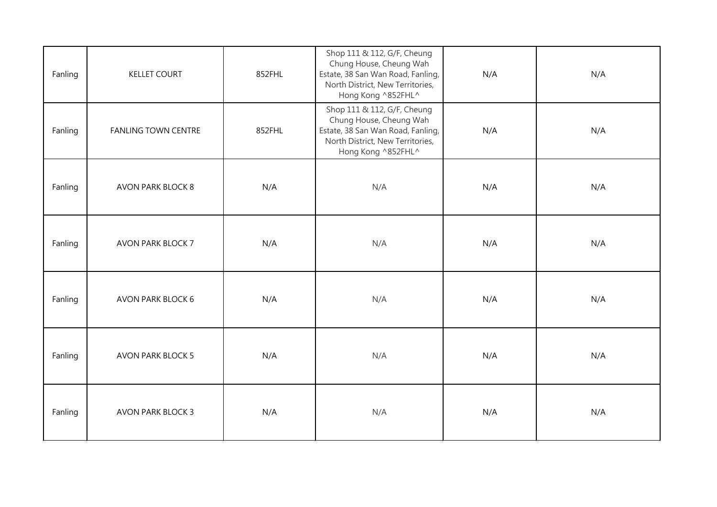| Fanling | <b>KELLET COURT</b>        | 852FHL | Shop 111 & 112, G/F, Cheung<br>Chung House, Cheung Wah<br>Estate, 38 San Wan Road, Fanling,<br>North District, New Territories,<br>Hong Kong ^852FHL^ | N/A | N/A |
|---------|----------------------------|--------|-------------------------------------------------------------------------------------------------------------------------------------------------------|-----|-----|
| Fanling | <b>FANLING TOWN CENTRE</b> | 852FHL | Shop 111 & 112, G/F, Cheung<br>Chung House, Cheung Wah<br>Estate, 38 San Wan Road, Fanling,<br>North District, New Territories,<br>Hong Kong ^852FHL^ | N/A | N/A |
| Fanling | <b>AVON PARK BLOCK 8</b>   | N/A    | N/A                                                                                                                                                   | N/A | N/A |
| Fanling | <b>AVON PARK BLOCK 7</b>   | N/A    | N/A                                                                                                                                                   | N/A | N/A |
| Fanling | AVON PARK BLOCK 6          | N/A    | N/A                                                                                                                                                   | N/A | N/A |
| Fanling | <b>AVON PARK BLOCK 5</b>   | N/A    | N/A                                                                                                                                                   | N/A | N/A |
| Fanling | <b>AVON PARK BLOCK 3</b>   | N/A    | N/A                                                                                                                                                   | N/A | N/A |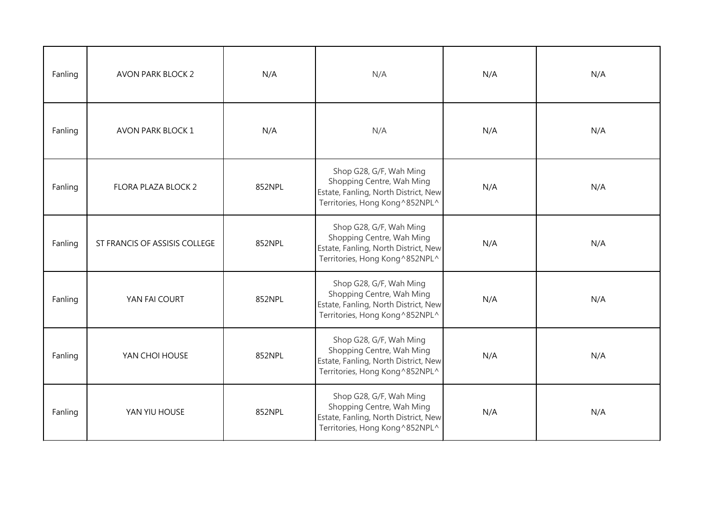| Fanling | <b>AVON PARK BLOCK 2</b>      | N/A    | N/A                                                                                                                             | N/A | N/A |
|---------|-------------------------------|--------|---------------------------------------------------------------------------------------------------------------------------------|-----|-----|
| Fanling | AVON PARK BLOCK 1             | N/A    | N/A                                                                                                                             | N/A | N/A |
| Fanling | FLORA PLAZA BLOCK 2           | 852NPL | Shop G28, G/F, Wah Ming<br>Shopping Centre, Wah Ming<br>Estate, Fanling, North District, New<br>Territories, Hong Kong^852NPL^  | N/A | N/A |
| Fanling | ST FRANCIS OF ASSISIS COLLEGE | 852NPL | Shop G28, G/F, Wah Ming<br>Shopping Centre, Wah Ming<br>Estate, Fanling, North District, New<br>Territories, Hong Kong^852NPL^  | N/A | N/A |
| Fanling | YAN FAI COURT                 | 852NPL | Shop G28, G/F, Wah Ming<br>Shopping Centre, Wah Ming<br>Estate, Fanling, North District, New<br>Territories, Hong Kong^852NPL^  | N/A | N/A |
| Fanling | YAN CHOI HOUSE                | 852NPL | Shop G28, G/F, Wah Ming<br>Shopping Centre, Wah Ming<br>Estate, Fanling, North District, New<br>Territories, Hong Kong^852NPL^  | N/A | N/A |
| Fanling | YAN YIU HOUSE                 | 852NPL | Shop G28, G/F, Wah Ming<br>Shopping Centre, Wah Ming<br>Estate, Fanling, North District, New<br>Territories, Hong Kong ^852NPL^ | N/A | N/A |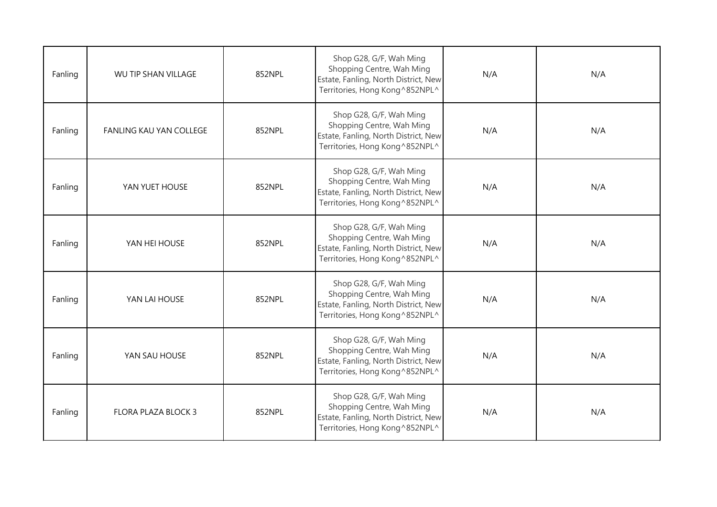| Fanling | WU TIP SHAN VILLAGE            | 852NPL | Shop G28, G/F, Wah Ming<br>Shopping Centre, Wah Ming<br>Estate, Fanling, North District, New<br>Territories, Hong Kong ^852NPL^ | N/A | N/A |
|---------|--------------------------------|--------|---------------------------------------------------------------------------------------------------------------------------------|-----|-----|
| Fanling | <b>FANLING KAU YAN COLLEGE</b> | 852NPL | Shop G28, G/F, Wah Ming<br>Shopping Centre, Wah Ming<br>Estate, Fanling, North District, New<br>Territories, Hong Kong^852NPL^  | N/A | N/A |
| Fanling | YAN YUET HOUSE                 | 852NPL | Shop G28, G/F, Wah Ming<br>Shopping Centre, Wah Ming<br>Estate, Fanling, North District, New<br>Territories, Hong Kong^852NPL^  | N/A | N/A |
| Fanling | YAN HEI HOUSE                  | 852NPL | Shop G28, G/F, Wah Ming<br>Shopping Centre, Wah Ming<br>Estate, Fanling, North District, New<br>Territories, Hong Kong^852NPL^  | N/A | N/A |
| Fanling | YAN LAI HOUSE                  | 852NPL | Shop G28, G/F, Wah Ming<br>Shopping Centre, Wah Ming<br>Estate, Fanling, North District, New<br>Territories, Hong Kong ^852NPL^ | N/A | N/A |
| Fanling | YAN SAU HOUSE                  | 852NPL | Shop G28, G/F, Wah Ming<br>Shopping Centre, Wah Ming<br>Estate, Fanling, North District, New<br>Territories, Hong Kong ^852NPL^ | N/A | N/A |
| Fanling | FLORA PLAZA BLOCK 3            | 852NPL | Shop G28, G/F, Wah Ming<br>Shopping Centre, Wah Ming<br>Estate, Fanling, North District, New<br>Territories, Hong Kong ^852NPL^ | N/A | N/A |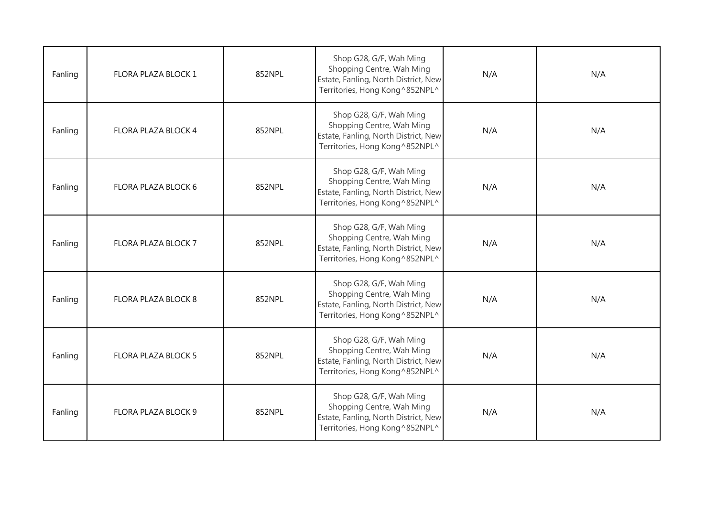| Fanling | FLORA PLAZA BLOCK 1 | 852NPL | Shop G28, G/F, Wah Ming<br>Shopping Centre, Wah Ming<br>Estate, Fanling, North District, New<br>Territories, Hong Kong^852NPL^  | N/A | N/A |
|---------|---------------------|--------|---------------------------------------------------------------------------------------------------------------------------------|-----|-----|
| Fanling | FLORA PLAZA BLOCK 4 | 852NPL | Shop G28, G/F, Wah Ming<br>Shopping Centre, Wah Ming<br>Estate, Fanling, North District, New<br>Territories, Hong Kong^852NPL^  | N/A | N/A |
| Fanling | FLORA PLAZA BLOCK 6 | 852NPL | Shop G28, G/F, Wah Ming<br>Shopping Centre, Wah Ming<br>Estate, Fanling, North District, New<br>Territories, Hong Kong^852NPL^  | N/A | N/A |
| Fanling | FLORA PLAZA BLOCK 7 | 852NPL | Shop G28, G/F, Wah Ming<br>Shopping Centre, Wah Ming<br>Estate, Fanling, North District, New<br>Territories, Hong Kong^852NPL^  | N/A | N/A |
| Fanling | FLORA PLAZA BLOCK 8 | 852NPL | Shop G28, G/F, Wah Ming<br>Shopping Centre, Wah Ming<br>Estate, Fanling, North District, New<br>Territories, Hong Kong^852NPL^  | N/A | N/A |
| Fanling | FLORA PLAZA BLOCK 5 | 852NPL | Shop G28, G/F, Wah Ming<br>Shopping Centre, Wah Ming<br>Estate, Fanling, North District, New<br>Territories, Hong Kong ^852NPL^ | N/A | N/A |
| Fanling | FLORA PLAZA BLOCK 9 | 852NPL | Shop G28, G/F, Wah Ming<br>Shopping Centre, Wah Ming<br>Estate, Fanling, North District, New<br>Territories, Hong Kong^852NPL^  | N/A | N/A |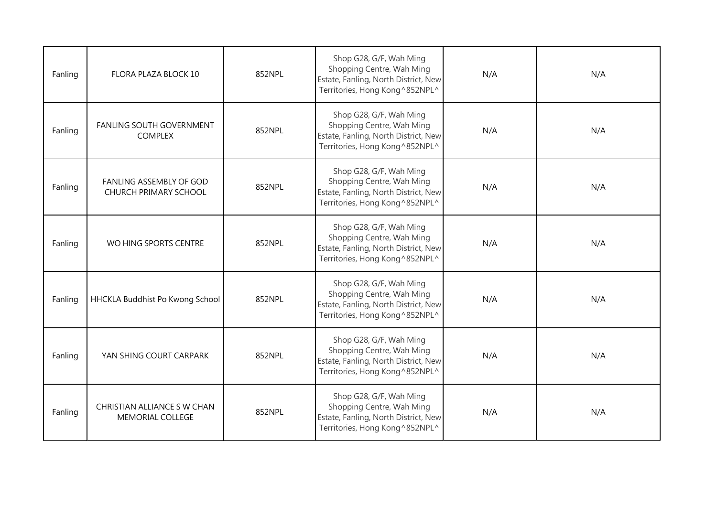| Fanling | FLORA PLAZA BLOCK 10                             | 852NPL | Shop G28, G/F, Wah Ming<br>Shopping Centre, Wah Ming<br>Estate, Fanling, North District, New<br>Territories, Hong Kong ^852NPL^ | N/A | N/A |
|---------|--------------------------------------------------|--------|---------------------------------------------------------------------------------------------------------------------------------|-----|-----|
| Fanling | FANLING SOUTH GOVERNMENT<br><b>COMPLEX</b>       | 852NPL | Shop G28, G/F, Wah Ming<br>Shopping Centre, Wah Ming<br>Estate, Fanling, North District, New<br>Territories, Hong Kong ^852NPL^ | N/A | N/A |
| Fanling | FANLING ASSEMBLY OF GOD<br>CHURCH PRIMARY SCHOOL | 852NPL | Shop G28, G/F, Wah Ming<br>Shopping Centre, Wah Ming<br>Estate, Fanling, North District, New<br>Territories, Hong Kong ^852NPL^ | N/A | N/A |
| Fanling | WO HING SPORTS CENTRE                            | 852NPL | Shop G28, G/F, Wah Ming<br>Shopping Centre, Wah Ming<br>Estate, Fanling, North District, New<br>Territories, Hong Kong^852NPL^  | N/A | N/A |
| Fanling | HHCKLA Buddhist Po Kwong School                  | 852NPL | Shop G28, G/F, Wah Ming<br>Shopping Centre, Wah Ming<br>Estate, Fanling, North District, New<br>Territories, Hong Kong ^852NPL^ | N/A | N/A |
| Fanling | YAN SHING COURT CARPARK                          | 852NPL | Shop G28, G/F, Wah Ming<br>Shopping Centre, Wah Ming<br>Estate, Fanling, North District, New<br>Territories, Hong Kong ^852NPL^ | N/A | N/A |
| Fanling | CHRISTIAN ALLIANCE SW CHAN<br>MEMORIAL COLLEGE   | 852NPL | Shop G28, G/F, Wah Ming<br>Shopping Centre, Wah Ming<br>Estate, Fanling, North District, New<br>Territories, Hong Kong^852NPL^  | N/A | N/A |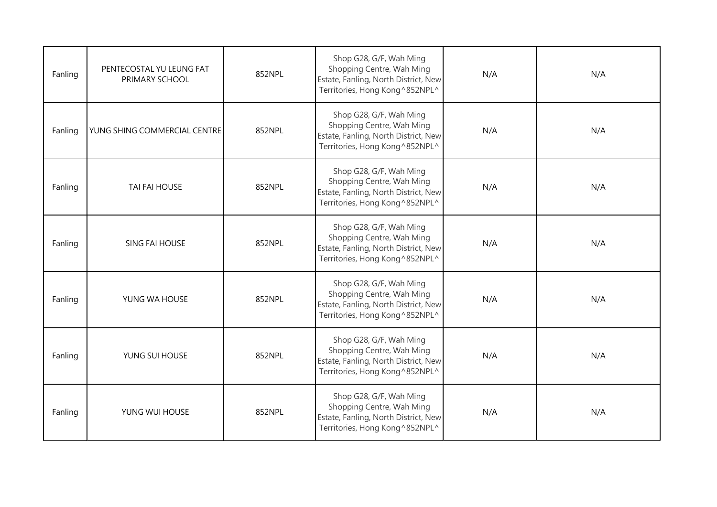| Fanling | PENTECOSTAL YU LEUNG FAT<br>PRIMARY SCHOOL | 852NPL | Shop G28, G/F, Wah Ming<br>Shopping Centre, Wah Ming<br>Estate, Fanling, North District, New<br>Territories, Hong Kong^852NPL^  | N/A | N/A |
|---------|--------------------------------------------|--------|---------------------------------------------------------------------------------------------------------------------------------|-----|-----|
| Fanling | YUNG SHING COMMERCIAL CENTRE               | 852NPL | Shop G28, G/F, Wah Ming<br>Shopping Centre, Wah Ming<br>Estate, Fanling, North District, New<br>Territories, Hong Kong^852NPL^  | N/A | N/A |
| Fanling | TAI FAI HOUSE                              | 852NPL | Shop G28, G/F, Wah Ming<br>Shopping Centre, Wah Ming<br>Estate, Fanling, North District, New<br>Territories, Hong Kong^852NPL^  | N/A | N/A |
| Fanling | <b>SING FAI HOUSE</b>                      | 852NPL | Shop G28, G/F, Wah Ming<br>Shopping Centre, Wah Ming<br>Estate, Fanling, North District, New<br>Territories, Hong Kong^852NPL^  | N/A | N/A |
| Fanling | YUNG WA HOUSE                              | 852NPL | Shop G28, G/F, Wah Ming<br>Shopping Centre, Wah Ming<br>Estate, Fanling, North District, New<br>Territories, Hong Kong^852NPL^  | N/A | N/A |
| Fanling | YUNG SUI HOUSE                             | 852NPL | Shop G28, G/F, Wah Ming<br>Shopping Centre, Wah Ming<br>Estate, Fanling, North District, New<br>Territories, Hong Kong^852NPL^  | N/A | N/A |
| Fanling | YUNG WUI HOUSE                             | 852NPL | Shop G28, G/F, Wah Ming<br>Shopping Centre, Wah Ming<br>Estate, Fanling, North District, New<br>Territories, Hong Kong ^852NPL^ | N/A | N/A |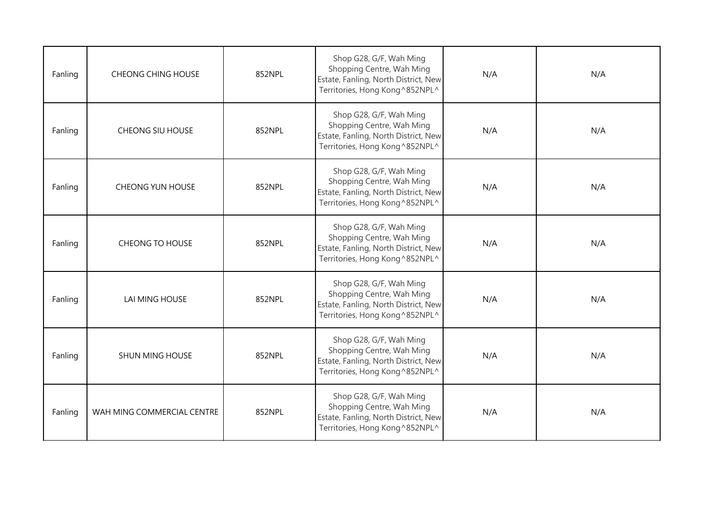| Fanling | <b>CHEONG CHING HOUSE</b>  | 852NPL | Shop G28, G/F, Wah Ming<br>Shopping Centre, Wah Ming<br>Estate, Fanling, North District, New<br>Territories, Hong Kong^852NPL^  | N/A | N/A |
|---------|----------------------------|--------|---------------------------------------------------------------------------------------------------------------------------------|-----|-----|
| Fanling | <b>CHEONG SIU HOUSE</b>    | 852NPL | Shop G28, G/F, Wah Ming<br>Shopping Centre, Wah Ming<br>Estate, Fanling, North District, New<br>Territories, Hong Kong ^852NPL^ | N/A | N/A |
| Fanling | <b>CHEONG YUN HOUSE</b>    | 852NPL | Shop G28, G/F, Wah Ming<br>Shopping Centre, Wah Ming<br>Estate, Fanling, North District, New<br>Territories, Hong Kong^852NPL^  | N/A | N/A |
| Fanling | CHEONG TO HOUSE            | 852NPL | Shop G28, G/F, Wah Ming<br>Shopping Centre, Wah Ming<br>Estate, Fanling, North District, New<br>Territories, Hong Kong^852NPL^  | N/A | N/A |
| Fanling | LAI MING HOUSE             | 852NPL | Shop G28, G/F, Wah Ming<br>Shopping Centre, Wah Ming<br>Estate, Fanling, North District, New<br>Territories, Hong Kong^852NPL^  | N/A | N/A |
| Fanling | <b>SHUN MING HOUSE</b>     | 852NPL | Shop G28, G/F, Wah Ming<br>Shopping Centre, Wah Ming<br>Estate, Fanling, North District, New<br>Territories, Hong Kong^852NPL^  | N/A | N/A |
| Fanling | WAH MING COMMERCIAL CENTRE | 852NPL | Shop G28, G/F, Wah Ming<br>Shopping Centre, Wah Ming<br>Estate, Fanling, North District, New<br>Territories, Hong Kong ^852NPL^ | N/A | N/A |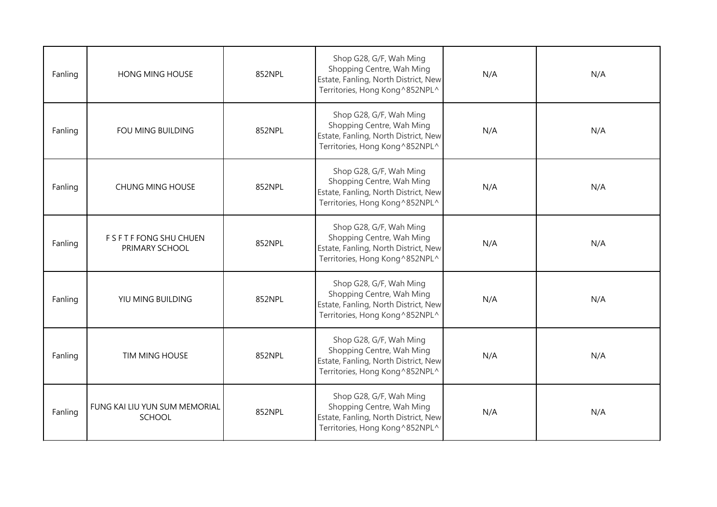| Fanling | <b>HONG MING HOUSE</b>                     | 852NPL | Shop G28, G/F, Wah Ming<br>Shopping Centre, Wah Ming<br>Estate, Fanling, North District, New<br>Territories, Hong Kong^852NPL^  | N/A | N/A |
|---------|--------------------------------------------|--------|---------------------------------------------------------------------------------------------------------------------------------|-----|-----|
| Fanling | FOU MING BUILDING                          | 852NPL | Shop G28, G/F, Wah Ming<br>Shopping Centre, Wah Ming<br>Estate, Fanling, North District, New<br>Territories, Hong Kong^852NPL^  | N/A | N/A |
| Fanling | <b>CHUNG MING HOUSE</b>                    | 852NPL | Shop G28, G/F, Wah Ming<br>Shopping Centre, Wah Ming<br>Estate, Fanling, North District, New<br>Territories, Hong Kong^852NPL^  | N/A | N/A |
| Fanling | F S F T F FONG SHU CHUEN<br>PRIMARY SCHOOL | 852NPL | Shop G28, G/F, Wah Ming<br>Shopping Centre, Wah Ming<br>Estate, Fanling, North District, New<br>Territories, Hong Kong ^852NPL^ | N/A | N/A |
| Fanling | YIU MING BUILDING                          | 852NPL | Shop G28, G/F, Wah Ming<br>Shopping Centre, Wah Ming<br>Estate, Fanling, North District, New<br>Territories, Hong Kong^852NPL^  | N/A | N/A |
| Fanling | TIM MING HOUSE                             | 852NPL | Shop G28, G/F, Wah Ming<br>Shopping Centre, Wah Ming<br>Estate, Fanling, North District, New<br>Territories, Hong Kong^852NPL^  | N/A | N/A |
| Fanling | FUNG KAI LIU YUN SUM MEMORIAL<br>SCHOOL    | 852NPL | Shop G28, G/F, Wah Ming<br>Shopping Centre, Wah Ming<br>Estate, Fanling, North District, New<br>Territories, Hong Kong ^852NPL^ | N/A | N/A |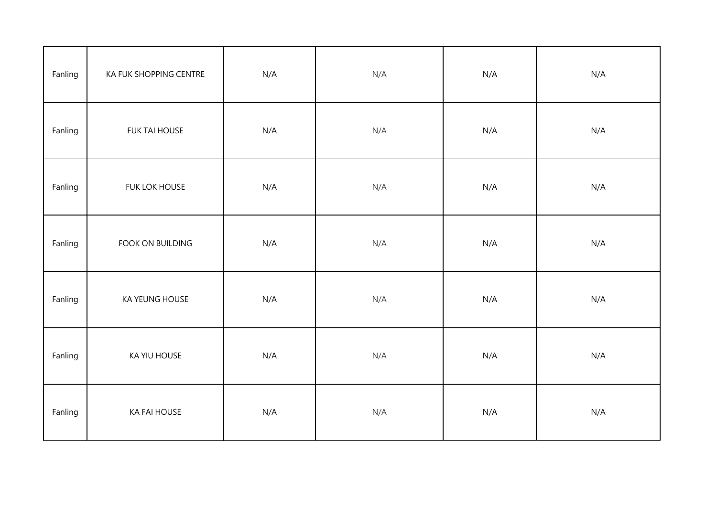| Fanling | KA FUK SHOPPING CENTRE | N/A | N/A | N/A | N/A |
|---------|------------------------|-----|-----|-----|-----|
| Fanling | <b>FUK TAI HOUSE</b>   | N/A | N/A | N/A | N/A |
| Fanling | FUK LOK HOUSE          | N/A | N/A | N/A | N/A |
| Fanling | FOOK ON BUILDING       | N/A | N/A | N/A | N/A |
| Fanling | KA YEUNG HOUSE         | N/A | N/A | N/A | N/A |
| Fanling | KA YIU HOUSE           | N/A | N/A | N/A | N/A |
| Fanling | <b>KA FAI HOUSE</b>    | N/A | N/A | N/A | N/A |